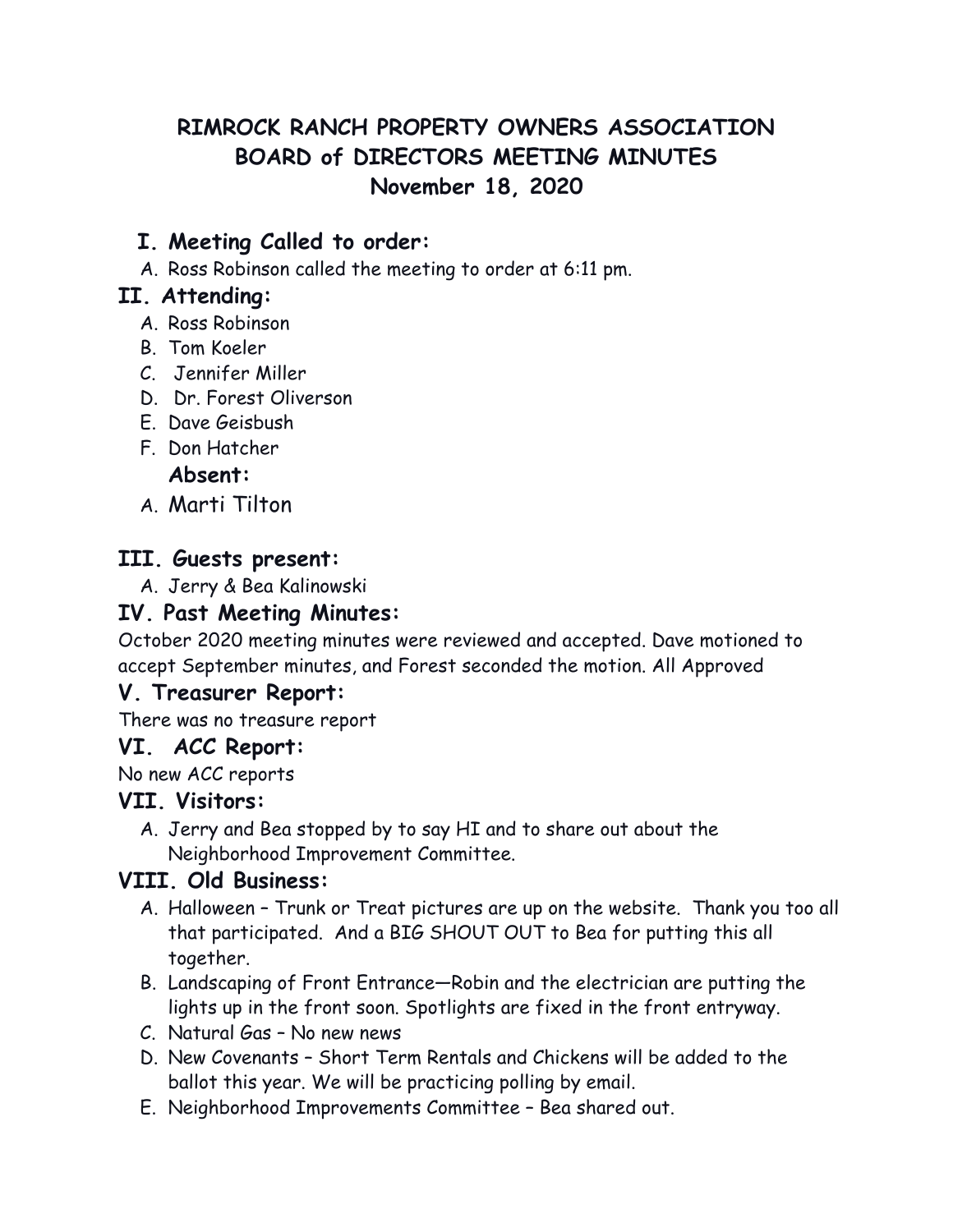# **RIMROCK RANCH PROPERTY OWNERS ASSOCIATION BOARD of DIRECTORS MEETING MINUTES November 18, 2020**

## **I. Meeting Called to order:**

A. Ross Robinson called the meeting to order at 6:11 pm.

### **II. Attending:**

- A. Ross Robinson
- B. Tom Koeler
- C. Jennifer Miller
- D. Dr. Forest Oliverson
- E. Dave Geisbush
- F. Don Hatcher

#### **Absent:**

A. Marti Tilton

### **III. Guests present:**

A. Jerry & Bea Kalinowski

### **IV. Past Meeting Minutes:**

October 2020 meeting minutes were reviewed and accepted. Dave motioned to accept September minutes, and Forest seconded the motion. All Approved

#### **V. Treasurer Report:**

There was no treasure report

#### **VI. ACC Report:**

No new ACC reports

#### **VII. Visitors:**

A. Jerry and Bea stopped by to say HI and to share out about the Neighborhood Improvement Committee.

### **VIII. Old Business:**

- A. Halloween Trunk or Treat pictures are up on the website. Thank you too all that participated. And a BIG SHOUT OUT to Bea for putting this all together.
- B. Landscaping of Front Entrance—Robin and the electrician are putting the lights up in the front soon. Spotlights are fixed in the front entryway.
- C. Natural Gas No new news
- D. New Covenants Short Term Rentals and Chickens will be added to the ballot this year. We will be practicing polling by email.
- E. Neighborhood Improvements Committee Bea shared out.